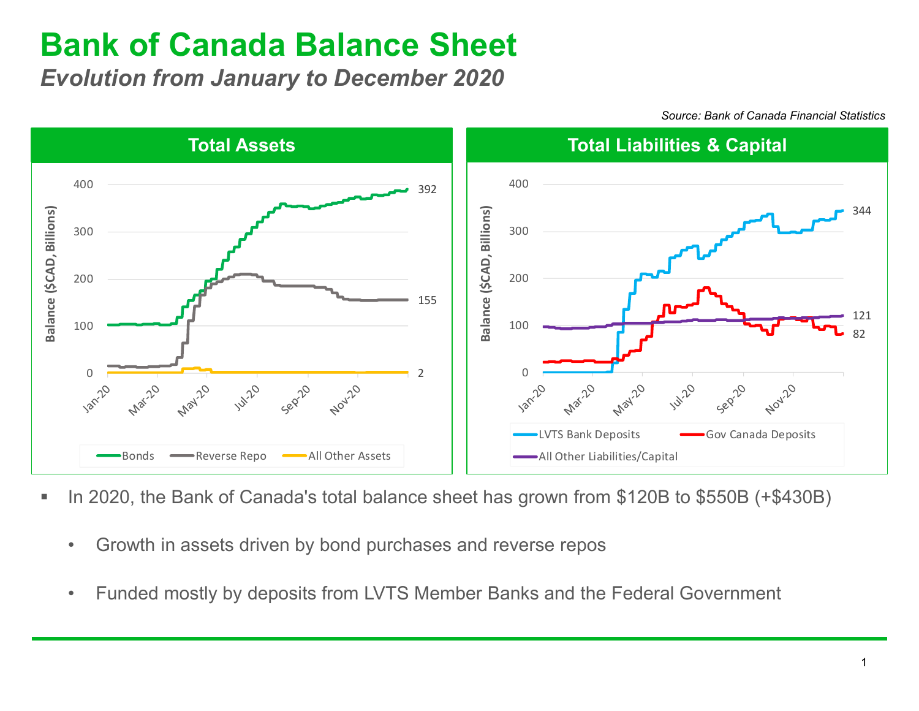## **Bank of Canada Balance Sheet**

*Evolution from January to December 2020*



*Source: Bank of Canada Financial Statistics*

- In 2020, the Bank of Canada's total balance sheet has grown from \$120B to \$550B (+\$430B)
	- Growth in assets driven by bond purchases and reverse repos
	- Funded mostly by deposits from LVTS Member Banks and the Federal Government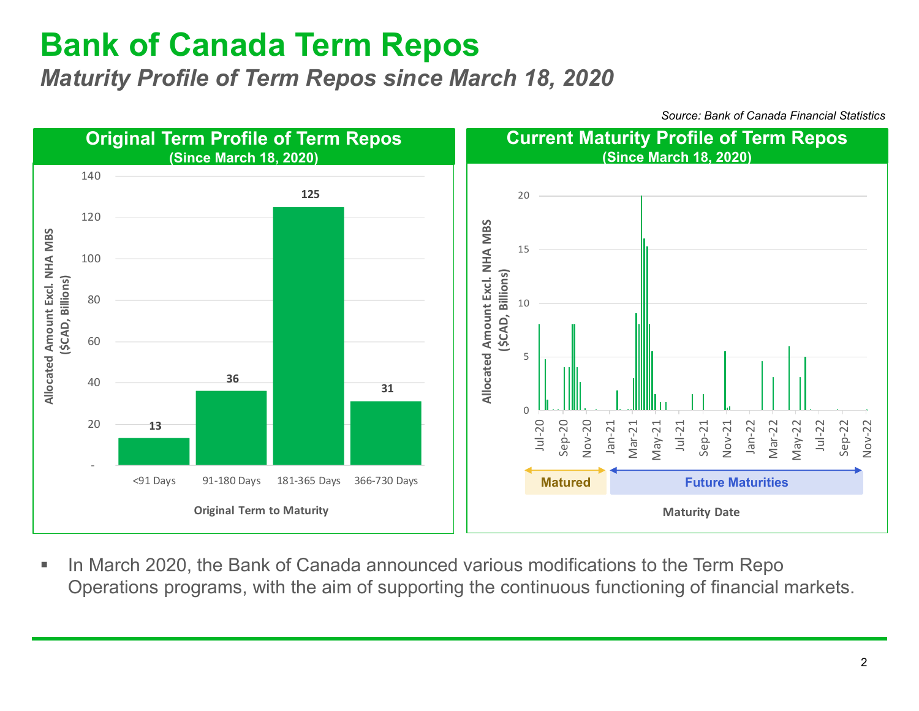## **Bank of Canada Term Repos**

*Maturity Profile of Term Repos since March 18, 2020*

*Source: Bank of Canada Financial Statistics*



■ In March 2020, the Bank of Canada announced various modifications to the Term Repo Operations programs, with the aim of supporting the continuous functioning of financial markets.